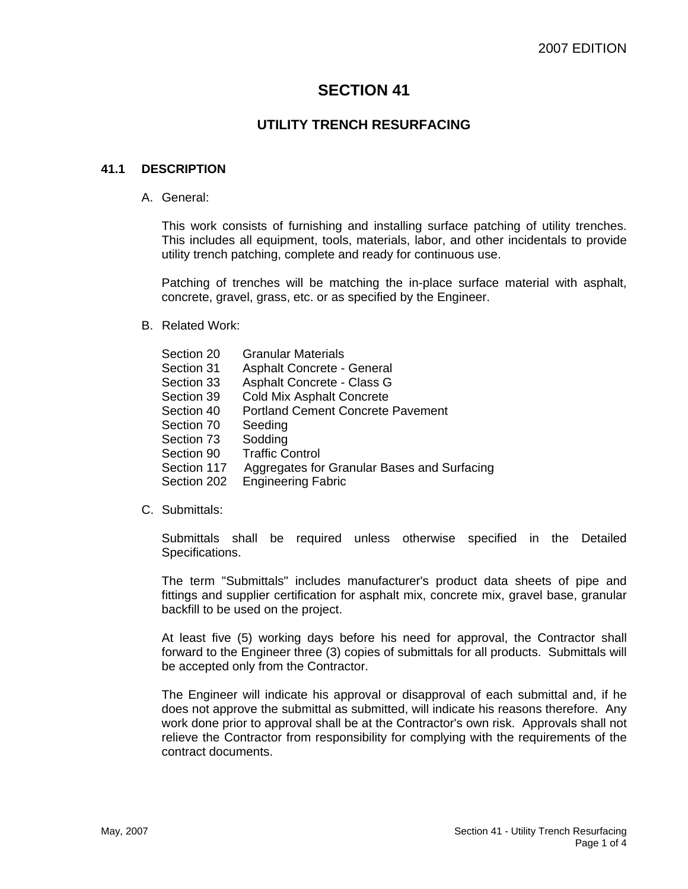# **SECTION 41**

## **UTILITY TRENCH RESURFACING**

## **41.1 DESCRIPTION**

A. General:

This work consists of furnishing and installing surface patching of utility trenches. This includes all equipment, tools, materials, labor, and other incidentals to provide utility trench patching, complete and ready for continuous use.

Patching of trenches will be matching the in-place surface material with asphalt, concrete, gravel, grass, etc. or as specified by the Engineer.

B. Related Work:

| Section 20  | <b>Granular Materials</b>                   |
|-------------|---------------------------------------------|
| Section 31  | Asphalt Concrete - General                  |
| Section 33  | Asphalt Concrete - Class G                  |
| Section 39  | <b>Cold Mix Asphalt Concrete</b>            |
| Section 40  | <b>Portland Cement Concrete Pavement</b>    |
| Section 70  | Seeding                                     |
| Section 73  | Sodding                                     |
| Section 90  | <b>Traffic Control</b>                      |
| Section 117 | Aggregates for Granular Bases and Surfacing |
| Section 202 | <b>Engineering Fabric</b>                   |
|             |                                             |

#### C. Submittals:

Submittals shall be required unless otherwise specified in the Detailed Specifications.

The term "Submittals" includes manufacturer's product data sheets of pipe and fittings and supplier certification for asphalt mix, concrete mix, gravel base, granular backfill to be used on the project.

At least five (5) working days before his need for approval, the Contractor shall forward to the Engineer three (3) copies of submittals for all products. Submittals will be accepted only from the Contractor.

The Engineer will indicate his approval or disapproval of each submittal and, if he does not approve the submittal as submitted, will indicate his reasons therefore. Any work done prior to approval shall be at the Contractor's own risk. Approvals shall not relieve the Contractor from responsibility for complying with the requirements of the contract documents.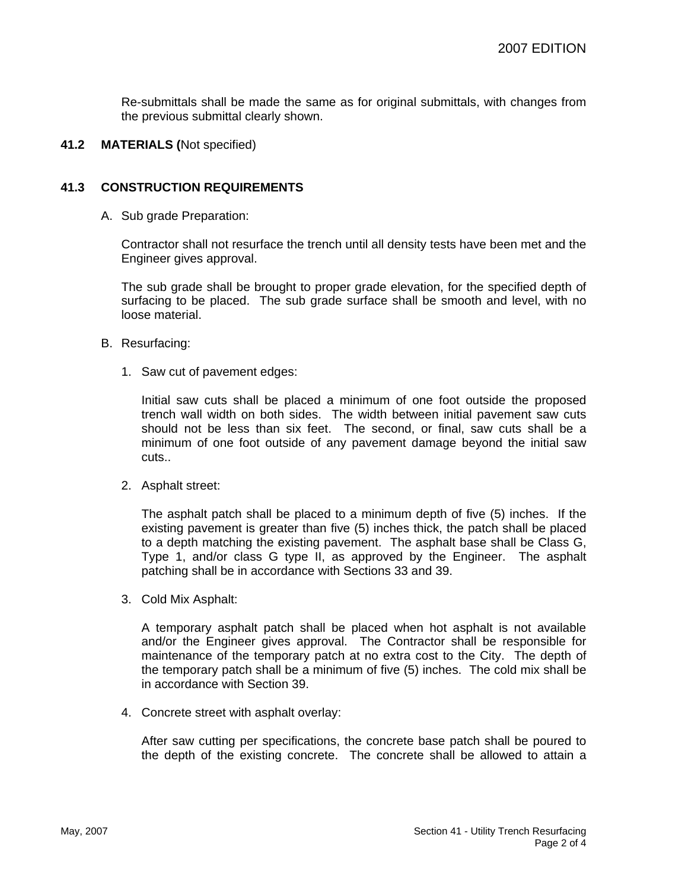Re-submittals shall be made the same as for original submittals, with changes from the previous submittal clearly shown.

#### **41.2 MATERIALS (**Not specified)

## **41.3 CONSTRUCTION REQUIREMENTS**

A. Sub grade Preparation:

Contractor shall not resurface the trench until all density tests have been met and the Engineer gives approval.

The sub grade shall be brought to proper grade elevation, for the specified depth of surfacing to be placed. The sub grade surface shall be smooth and level, with no loose material.

- B. Resurfacing:
	- 1. Saw cut of pavement edges:

Initial saw cuts shall be placed a minimum of one foot outside the proposed trench wall width on both sides. The width between initial pavement saw cuts should not be less than six feet. The second, or final, saw cuts shall be a minimum of one foot outside of any pavement damage beyond the initial saw cuts..

2. Asphalt street:

The asphalt patch shall be placed to a minimum depth of five (5) inches. If the existing pavement is greater than five (5) inches thick, the patch shall be placed to a depth matching the existing pavement. The asphalt base shall be Class G, Type 1, and/or class G type II, as approved by the Engineer. The asphalt patching shall be in accordance with Sections 33 and 39.

3. Cold Mix Asphalt:

A temporary asphalt patch shall be placed when hot asphalt is not available and/or the Engineer gives approval. The Contractor shall be responsible for maintenance of the temporary patch at no extra cost to the City. The depth of the temporary patch shall be a minimum of five (5) inches. The cold mix shall be in accordance with Section 39.

4. Concrete street with asphalt overlay:

After saw cutting per specifications, the concrete base patch shall be poured to the depth of the existing concrete. The concrete shall be allowed to attain a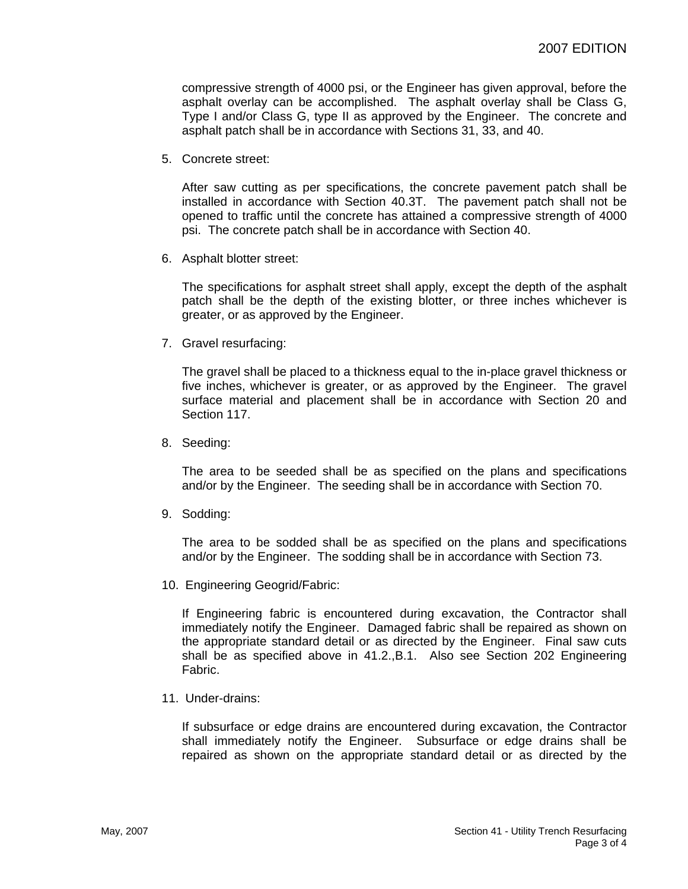compressive strength of 4000 psi, or the Engineer has given approval, before the asphalt overlay can be accomplished. The asphalt overlay shall be Class G, Type I and/or Class G, type II as approved by the Engineer. The concrete and asphalt patch shall be in accordance with Sections 31, 33, and 40.

5. Concrete street:

After saw cutting as per specifications, the concrete pavement patch shall be installed in accordance with Section 40.3T. The pavement patch shall not be opened to traffic until the concrete has attained a compressive strength of 4000 psi. The concrete patch shall be in accordance with Section 40.

6. Asphalt blotter street:

The specifications for asphalt street shall apply, except the depth of the asphalt patch shall be the depth of the existing blotter, or three inches whichever is greater, or as approved by the Engineer.

7. Gravel resurfacing:

The gravel shall be placed to a thickness equal to the in-place gravel thickness or five inches, whichever is greater, or as approved by the Engineer. The gravel surface material and placement shall be in accordance with Section 20 and Section 117.

8. Seeding:

The area to be seeded shall be as specified on the plans and specifications and/or by the Engineer. The seeding shall be in accordance with Section 70.

9. Sodding:

The area to be sodded shall be as specified on the plans and specifications and/or by the Engineer. The sodding shall be in accordance with Section 73.

10. Engineering Geogrid/Fabric:

If Engineering fabric is encountered during excavation, the Contractor shall immediately notify the Engineer. Damaged fabric shall be repaired as shown on the appropriate standard detail or as directed by the Engineer. Final saw cuts shall be as specified above in 41.2.,B.1. Also see Section 202 Engineering Fabric.

11. Under-drains:

If subsurface or edge drains are encountered during excavation, the Contractor shall immediately notify the Engineer. Subsurface or edge drains shall be repaired as shown on the appropriate standard detail or as directed by the